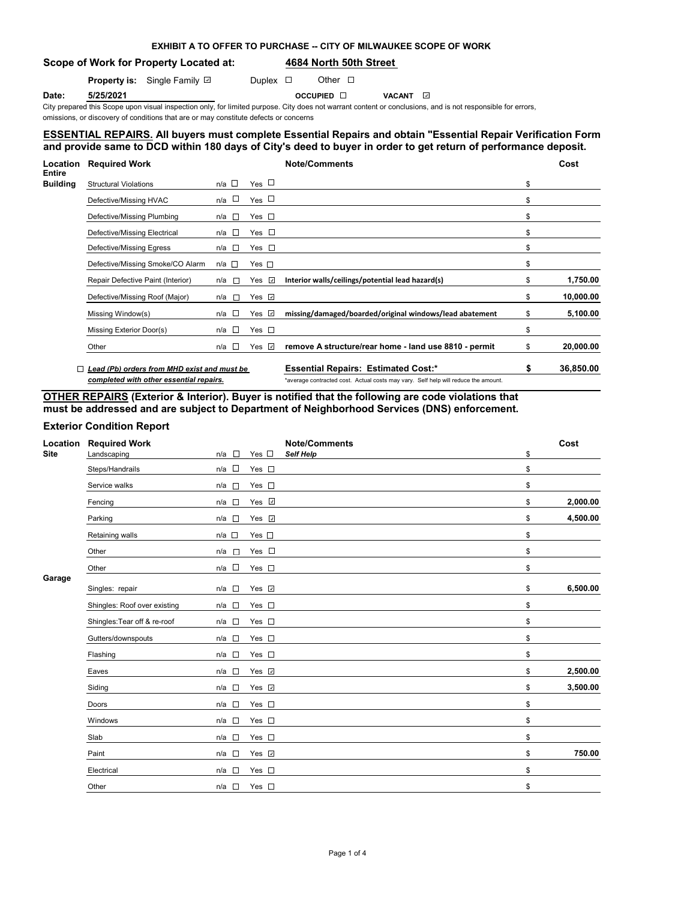## **EXHIBIT A TO OFFER TO PURCHASE -- CITY OF MILWAUKEE SCOPE OF WORK**

**Scope of Work for Property Located at: 4684 North 50th Street** 

**Property is:** Single Family **D** Duplex **D** Other D

**Date: 5/25/2021 Date: 5/25/2021 Date: 5/25/2021 Date:** OCCUPIED ⊡ VACANT

City prepared this Scope upon visual inspection only, for limited purpose. City does not warrant content or conclusions, and is not responsible for errors, omissions, or discovery of conditions that are or may constitute defects or concerns

## **ESSENTIAL REPAIRS. All buyers must complete Essential Repairs and obtain "Essential Repair Verification Form" and provide same to DCD within 180 days of City's deed to buyer in order to get return of performance deposit.**

| Location                         | <b>Required Work</b>                        |                       |                    | <b>Note/Comments</b>                                                               |    | Cost      |
|----------------------------------|---------------------------------------------|-----------------------|--------------------|------------------------------------------------------------------------------------|----|-----------|
| <b>Entire</b><br><b>Building</b> | <b>Structural Violations</b>                | n/a $\square$         | Yes $\Box$         |                                                                                    | \$ |           |
|                                  | Defective/Missing HVAC                      | n/a ⊔                 | Yes $\Box$         |                                                                                    | \$ |           |
|                                  | Defective/Missing Plumbing                  | $n/a$ $\Box$          | Yes $\Box$         |                                                                                    | \$ |           |
|                                  | Defective/Missing Electrical                | n/a l⊟                | Yes $\square$      |                                                                                    | \$ |           |
|                                  | Defective/Missing Egress                    | n/a □                 | Yes $\square$      |                                                                                    | \$ |           |
|                                  | Defective/Missing Smoke/CO Alarm            | n/a □                 | Yes $\square$      |                                                                                    | \$ |           |
|                                  | Repair Defective Paint (Interior)           | n/a<br>$\Box$         | Yes $\overline{v}$ | Interior walls/ceilings/potential lead hazard(s)                                   | \$ | 1,750.00  |
|                                  | Defective/Missing Roof (Major)              | $\overline{a}$<br>n/a | Yes $\Box$         |                                                                                    | \$ | 10,000.00 |
|                                  | Missing Window(s)                           | n/a □                 | Yes $\sqrt{ }$     | missing/damaged/boarded/original windows/lead abatement                            | \$ | 5,100.00  |
|                                  | Missing Exterior Door(s)                    | $n/a$ $\Box$          | Yes $\square$      |                                                                                    | \$ |           |
| $\Box$                           | Other                                       | n/a $\square$         | Yes $\Box$         | remove A structure/rear home - land use 8810 - permit                              | S  | 20,000.00 |
|                                  | Lead (Pb) orders from MHD exist and must be |                       |                    | <b>Essential Repairs: Estimated Cost:*</b>                                         | \$ | 36,850.00 |
|                                  | completed with other essential repairs.     |                       |                    | *average contracted cost. Actual costs may vary. Self help will reduce the amount. |    |           |

**OTHER REPAIRS (Exterior & Interior). Buyer is notified that the following are code violations that must be addressed and are subject to Department of Neighborhood Services (DNS) enforcement.**

## **Exterior Condition Report**

| Location    | <b>Required Work</b>         |                 |                    | <b>Note/Comments</b> | Cost           |
|-------------|------------------------------|-----------------|--------------------|----------------------|----------------|
| <b>Site</b> | Landscaping                  | $n/a$ $\square$ | Yes $\square$      | <b>Self Help</b>     | \$             |
|             | Steps/Handrails              | $n/a$ $\square$ | Yes $\square$      |                      | \$             |
|             | Service walks                | $n/a$ $\square$ | Yes $\square$      |                      | \$             |
|             | Fencing                      | $n/a$ $\square$ | Yes $\sqrt{ }$     |                      | \$<br>2,000.00 |
|             | Parking                      | $n/a$ $\square$ | Yes v              |                      | \$<br>4,500.00 |
|             | Retaining walls              | $n/a$ $\square$ | Yes $\square$      |                      | \$             |
|             | Other                        | n/a<br>$\sim$   | Yes $\square$      |                      | \$             |
|             | Other                        | $n/a$ $\square$ | Yes $\square$      |                      | \$             |
| Garage      | Singles: repair              | $n/a$ $\square$ | Yes $\overline{v}$ |                      | \$<br>6,500.00 |
|             | Shingles: Roof over existing | $n/a$ $\square$ | Yes $\square$      |                      | \$             |
|             | Shingles: Tear off & re-roof | $n/a$ $\square$ | Yes $\square$      |                      | \$             |
|             | Gutters/downspouts           | $n/a$ $\square$ | Yes $\square$      |                      | \$             |
|             | Flashing                     | $n/a$ $\Box$    | Yes $\square$      |                      | \$             |
|             | Eaves                        | $n/a$ $\square$ | Yes v              |                      | \$<br>2,500.00 |
|             | Siding                       | $n/a$ $\square$ | Yes $\overline{v}$ |                      | \$<br>3,500.00 |
|             | Doors                        | $n/a$ $\square$ | Yes $\square$      |                      | \$             |
|             | Windows                      | $n/a$ $\square$ | Yes $\square$      |                      | \$             |
|             | Slab                         | $n/a$ $\square$ | Yes $\square$      |                      | \$             |
|             | Paint                        | $n/a$ $\square$ | Yes v              |                      | \$<br>750.00   |
|             | Electrical                   | $n/a$ $\square$ | Yes $\square$      |                      | \$             |
|             | Other                        | $n/a$ $\square$ | Yes $\square$      |                      | \$             |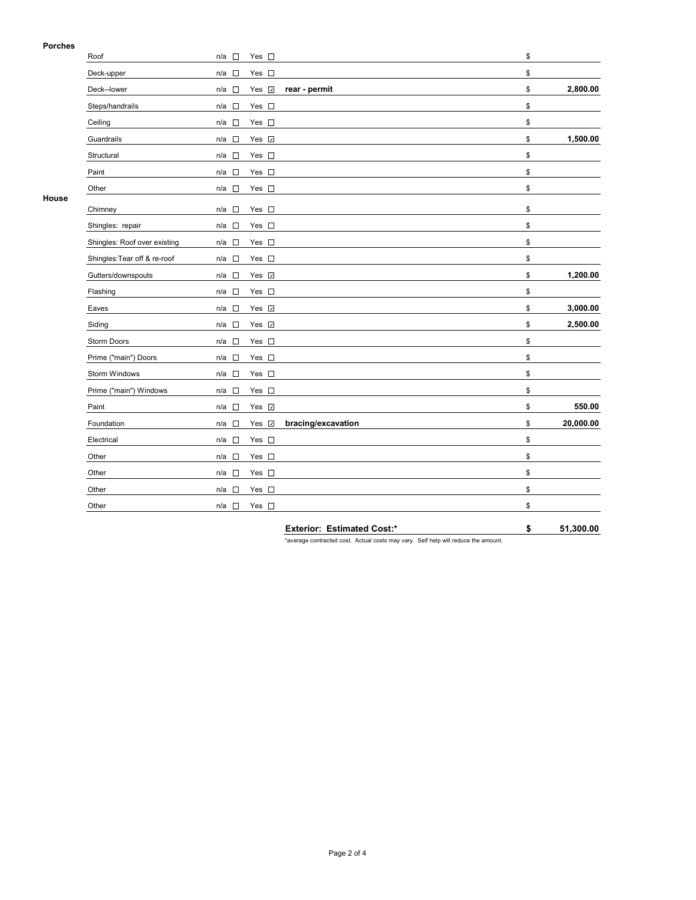### **Porches**

| гиингэ | Roof                         | $n/a$ $\square$                 | Yes $\square$      |                    | \$              |
|--------|------------------------------|---------------------------------|--------------------|--------------------|-----------------|
|        | Deck-upper                   | n/a<br>$\Box$                   | Yes $\square$      |                    | \$              |
|        | Deck--lower                  | $n/a$ $\square$                 | Yes 7              | rear - permit      | \$<br>2,800.00  |
|        | Steps/handrails              | $\Box$<br>n/a                   | Yes $\square$      |                    | \$              |
|        | Ceiling                      | □<br>n/a                        | Yes $\square$      |                    | \$              |
|        | Guardrails                   | П<br>n/a                        | Yes <b>☑</b>       |                    | \$<br>1,500.00  |
|        | Structural                   | П<br>n/a                        | Yes $\square$      |                    | \$              |
|        | Paint                        | n/a<br>$\Box$                   | Yes $\square$      |                    | \$              |
|        | Other                        | n/a $\square$                   | Yes $\square$      |                    | \$              |
| House  | Chimney                      | n/a<br>$\overline{\phantom{a}}$ | Yes $\square$      |                    | \$              |
|        | Shingles: repair             | $n/a$ $\square$                 | Yes $\square$      |                    | \$              |
|        | Shingles: Roof over existing | $n/a$ $\Box$                    | Yes $\square$      |                    | \$              |
|        | Shingles: Tear off & re-roof | n/a □                           | Yes $\square$      |                    | \$              |
|        | Gutters/downspouts           | n/a<br>$\sim$                   | Yes <b>☑</b>       |                    | \$<br>1,200.00  |
|        | Flashing                     | n/a<br>□                        | Yes $\square$      |                    | \$              |
|        | Eaves                        | $\sim$<br>n/a                   | Yes v              |                    | \$<br>3,000.00  |
|        | Siding                       | n/a<br>$\sim$                   | Yes <b>☑</b>       |                    | \$<br>2,500.00  |
|        | Storm Doors                  | n/a $\square$                   | Yes $\square$      |                    | \$              |
|        | Prime ("main") Doors         | $n/a$ $\square$                 | Yes $\square$      |                    | \$              |
|        | Storm Windows                | n/a<br>$\Box$                   | Yes $\square$      |                    | \$              |
|        | Prime ("main") Windows       | $n/a$ $\square$                 | Yes $\square$      |                    | \$              |
|        | Paint                        | $n/a$ $\square$                 | Yes <b>☑</b>       |                    | \$<br>550.00    |
|        | Foundation                   | n/a<br>П                        | Yes $\overline{v}$ | bracing/excavation | \$<br>20,000.00 |
|        | Electrical                   | □<br>n/a                        | Yes $\square$      |                    | \$              |
|        | Other                        | n/a<br>□                        | Yes $\square$      |                    | \$              |
|        | Other                        | n/a<br>$\Box$                   | Yes $\square$      |                    | \$              |
|        | Other                        | n/a<br>П                        | Yes $\square$      |                    | \$              |
|        | Other                        | n/a □                           | Yes $\square$      |                    | \$              |

**Exterior: Estimated Cost:\* \$ 51,300.00**

\*average contracted cost. Actual costs may vary. Self help will reduce the amount.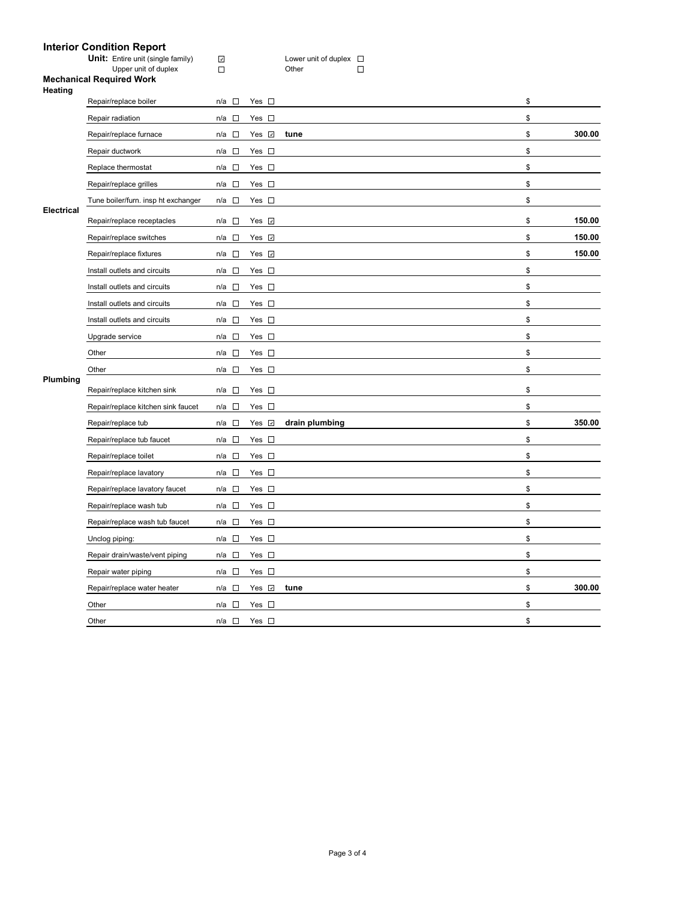# **Interior Condition Report**

|  | <b>Unit:</b> Entire unit (single family) | Lower unit of duplex $\square$ |  |
|--|------------------------------------------|--------------------------------|--|
|  | Upper unit of duplex                     | Other                          |  |

### **Mechanical Required Work Heating**

|                   | Repair/replace boiler               | n/a □                              | Yes $\square$      |                | \$           |
|-------------------|-------------------------------------|------------------------------------|--------------------|----------------|--------------|
|                   | Repair radiation                    | n/a<br>$\mathcal{L}(\cdot)$        | Yes $\square$      |                | \$           |
|                   | Repair/replace furnace              | $\sim$<br>n/a                      | Yes<br>$\omega$    | tune           | \$<br>300.00 |
|                   | Repair ductwork                     | $\Box$<br>n/a                      | Yes $\square$      |                | \$           |
|                   | Replace thermostat                  | n/a $\square$                      | Yes $\square$      |                | \$           |
|                   | Repair/replace grilles              | n/a<br>$\overline{\phantom{a}}$    | Yes $\square$      |                | \$           |
|                   | Tune boiler/furn. insp ht exchanger | n/a<br>$\Box$                      | Yes $\square$      |                | \$           |
| <b>Electrical</b> | Repair/replace receptacles          | n/a □                              | Yes $\sqrt{ }$     |                | \$<br>150.00 |
|                   | Repair/replace switches             | n/a<br>$\sim$                      | Yes $\sqrt{ }$     |                | \$<br>150.00 |
|                   | Repair/replace fixtures             | $n/a$ $\square$                    | Yes $\overline{v}$ |                | \$<br>150.00 |
|                   | Install outlets and circuits        | $n/a$ $\square$                    | Yes $\square$      |                | \$           |
|                   | Install outlets and circuits        | n/a<br>$\sim$                      | Yes $\square$      |                | \$           |
|                   | Install outlets and circuits        | $\overline{\phantom{a}}$<br>n/a    | Yes $\square$      |                | \$           |
|                   | Install outlets and circuits        | $\mathcal{L}_{\mathcal{A}}$<br>n/a | Yes $\square$      |                | \$           |
|                   | Upgrade service                     | n/a<br>$\mathcal{L}$               | Yes $\square$      |                | \$           |
|                   | Other                               | $n/a$ $\square$                    | Yes $\square$      |                | \$           |
|                   | Other                               | $\mathcal{L}_{\mathcal{A}}$<br>n/a | Yes $\square$      |                | \$           |
| Plumbing          | Repair/replace kitchen sink         | $\Box$<br>n/a                      | Yes $\square$      |                | \$           |
|                   | Repair/replace kitchen sink faucet  | $n/a$ $\square$                    | Yes $\square$      |                | \$           |
|                   | Repair/replace tub                  | $n/a$ $\square$                    | Yes <b>⊽</b>       | drain plumbing | \$<br>350.00 |
|                   | Repair/replace tub faucet           | $\Box$<br>n/a                      | Yes $\square$      |                | \$           |
|                   | Repair/replace toilet               | $\sim$<br>n/a                      | Yes $\square$      |                | \$           |
|                   | Repair/replace lavatory             | n/a $\square$                      | Yes $\square$      |                | \$           |
|                   | Repair/replace lavatory faucet      | $n/a$ $\square$                    | Yes $\square$      |                | \$           |
|                   | Repair/replace wash tub             | $\Box$<br>n/a                      | Yes $\square$      |                | \$           |
|                   | Repair/replace wash tub faucet      | n/a □                              | Yes $\square$      |                | \$           |
|                   | Unclog piping:                      | $n/a$ $\square$                    | Yes $\square$      |                | \$           |
|                   | Repair drain/waste/vent piping      | $\Box$<br>n/a                      | Yes $\square$      |                | \$           |
|                   | Repair water piping                 | $n/a$ $\square$                    | Yes $\square$      |                | \$           |
|                   | Repair/replace water heater         | n/a<br>$\sim$                      | Yes $\overline{v}$ | tune           | \$<br>300.00 |
|                   | Other                               | n/a<br>$\overline{\phantom{a}}$    | Yes $\square$      |                | \$           |
|                   | Other                               | $n/a$ $\square$                    | Yes $\square$      |                | \$           |